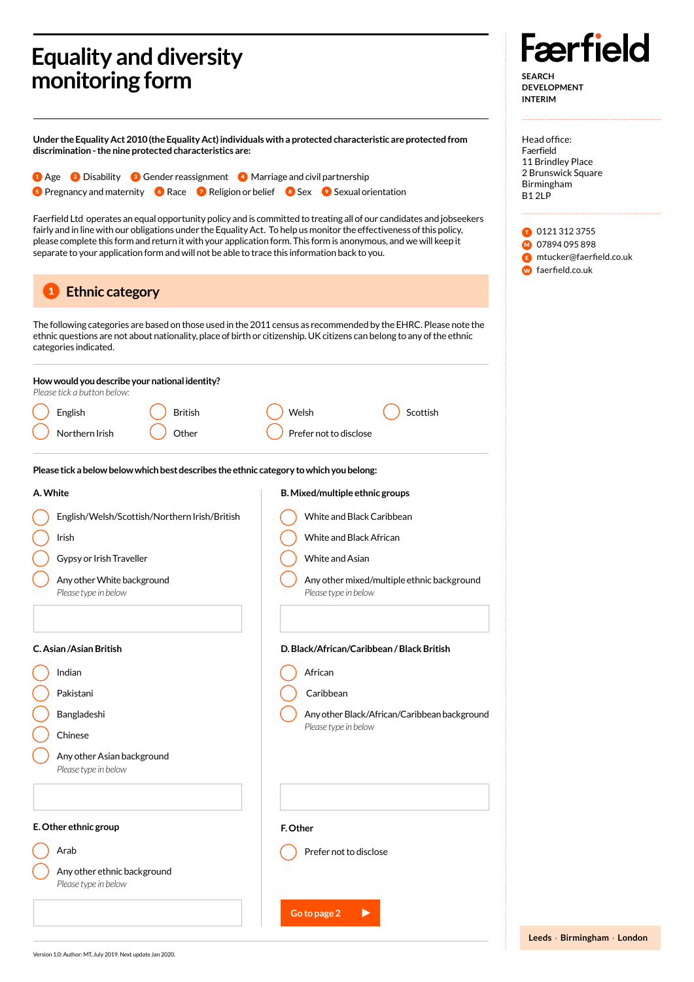## **Equality and diversity monitoring form**

**Under the Equality Act 2010 (the Equality Act) individuals with a protected characteristic are protected from discrimination - the nine protected characteristics are:** 

1 Age 2 Disability 3 Gender reassignment 4 Marriage and civil partnership **5** Pregnancy and maternity **G** Race **7** Religion or belief **8** Sex **9** Sexual orientation

Faerfield Ltd operates an equal opportunity policy and is committed to treating all of our candidates and jobseekers fairly and in line with our obligations under the Equality Act. To help us monitor the effectiveness of this policy, please complete this form and return it with your application form. This form is anonymous, and we will keep it separate to your application form and will not be able to trace this information back to you.

## **Ethnic category**  1

The following categories are based on those used in the 2011 census as recommended by the EHRC. Please note the ethnic questions are not about nationality, place of birth or citizenship. UK citizens can belong to any of the ethnic categories indicated.

| How would you describe your national identity?<br>Please tick a button below:           |                                                                    |  |
|-----------------------------------------------------------------------------------------|--------------------------------------------------------------------|--|
| <b>British</b><br>English                                                               | Welsh<br>Scottish                                                  |  |
| Northern Irish<br>Other                                                                 | Prefer not to disclose                                             |  |
| Please tick a below below which best describes the ethnic category to which you belong: |                                                                    |  |
| A. White                                                                                | B. Mixed/multiple ethnic groups                                    |  |
| English/Welsh/Scottish/Northern Irish/British                                           | White and Black Caribbean                                          |  |
| Irish                                                                                   | White and Black African                                            |  |
| Gypsy or Irish Traveller                                                                | White and Asian                                                    |  |
| Any other White background<br>Please type in below                                      | Any other mixed/multiple ethnic background<br>Please type in below |  |
|                                                                                         |                                                                    |  |
| C. Asian /Asian British<br>D. Black/African/Caribbean / Black British                   |                                                                    |  |
| Indian                                                                                  | African                                                            |  |
| Pakistani                                                                               | Caribbean                                                          |  |
| Bangladeshi                                                                             | Any other Black/African/Caribbean background                       |  |
| Chinese                                                                                 | Please type in below                                               |  |
| Any other Asian background<br>Please type in below                                      |                                                                    |  |
|                                                                                         |                                                                    |  |
| E. Other ethnic group                                                                   | F. Other                                                           |  |
| Arab                                                                                    | Prefer not to disclose                                             |  |
| Any other ethnic background<br>Please type in below                                     |                                                                    |  |
|                                                                                         | Go to page 2                                                       |  |

**Færfield SEARCH DEVELOPMENT**

Head office: Faerfield 11 Brindley Place 2 Brunswick Square Birmingham B1 2LP

**INTERIM**

**D** 0121 312 3755 M 07894 095 898 **E** mtucker@faerfield.co.uk **W** faerfield.co.uk